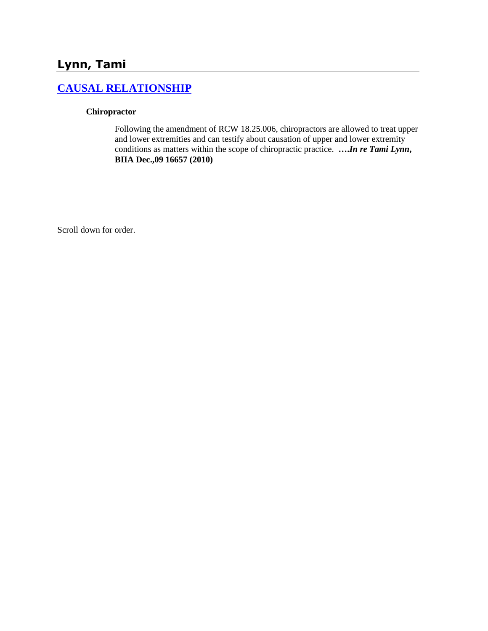# **Lynn, Tami**

# **[CAUSAL RELATIONSHIP](http://www.biia.wa.gov/SDSubjectIndex.html#CAUSAL_RELATIONSHIP/)**

#### **Chiropractor**

Following the amendment of RCW 18.25.006, chiropractors are allowed to treat upper and lower extremities and can testify about causation of upper and lower extremity conditions as matters within the scope of chiropractic practice. **….***In re Tami Lynn***, BIIA Dec.,09 16657 (2010)**

Scroll down for order.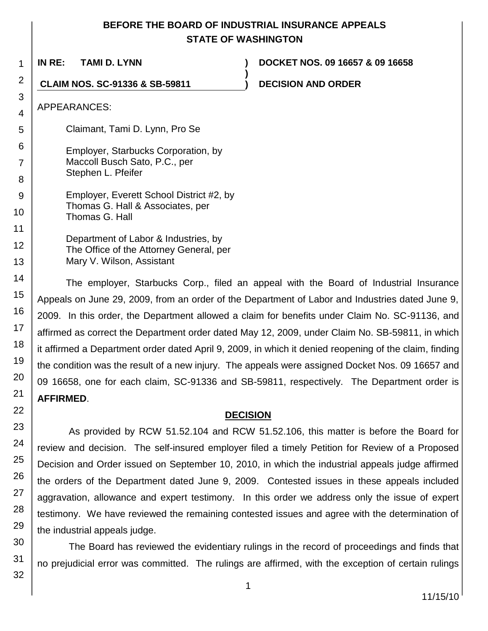# **BEFORE THE BOARD OF INDUSTRIAL INSURANCE APPEALS STATE OF WASHINGTON**

**)**

**IN RE: TAMI D. LYNN ) DOCKET NOS. 09 16657 & 09 16658**

**CLAIM NOS. SC-91336 & SB-59811 ) DECISION AND ORDER**

APPEARANCES:

Claimant, Tami D. Lynn, Pro Se

Employer, Starbucks Corporation, by Maccoll Busch Sato, P.C., per Stephen L. Pfeifer

Employer, Everett School District #2, by Thomas G. Hall & Associates, per Thomas G. Hall

Department of Labor & Industries, by The Office of the Attorney General, per Mary V. Wilson, Assistant

The employer, Starbucks Corp., filed an appeal with the Board of Industrial Insurance Appeals on June 29, 2009, from an order of the Department of Labor and Industries dated June 9, 2009. In this order, the Department allowed a claim for benefits under Claim No. SC-91136, and affirmed as correct the Department order dated May 12, 2009, under Claim No. SB-59811, in which it affirmed a Department order dated April 9, 2009, in which it denied reopening of the claim, finding the condition was the result of a new injury. The appeals were assigned Docket Nos. 09 16657 and 09 16658, one for each claim, SC-91336 and SB-59811, respectively. The Department order is **AFFIRMED**.

### **DECISION**

As provided by RCW 51.52.104 and RCW 51.52.106, this matter is before the Board for review and decision. The self-insured employer filed a timely Petition for Review of a Proposed Decision and Order issued on September 10, 2010, in which the industrial appeals judge affirmed the orders of the Department dated June 9, 2009. Contested issues in these appeals included aggravation, allowance and expert testimony. In this order we address only the issue of expert testimony. We have reviewed the remaining contested issues and agree with the determination of the industrial appeals judge.

The Board has reviewed the evidentiary rulings in the record of proceedings and finds that no prejudicial error was committed. The rulings are affirmed, with the exception of certain rulings

1

2

3

4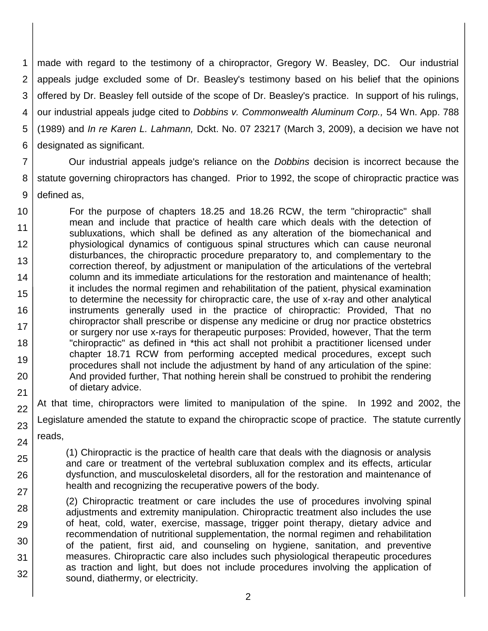1 2 3 4 5 6 made with regard to the testimony of a chiropractor, Gregory W. Beasley, DC. Our industrial appeals judge excluded some of Dr. Beasley's testimony based on his belief that the opinions offered by Dr. Beasley fell outside of the scope of Dr. Beasley's practice. In support of his rulings, our industrial appeals judge cited to *Dobbins v. Commonwealth Aluminum Corp.,* 54 Wn. App. 788 (1989) and *In re Karen L. Lahmann,* Dckt. No. 07 23217 (March 3, 2009), a decision we have not designated as significant.

7 8 9 Our industrial appeals judge's reliance on the *Dobbins* decision is incorrect because the statute governing chiropractors has changed. Prior to 1992, the scope of chiropractic practice was defined as,

10 11 12 13 14 15 16 17 18 19 20 21 For the purpose of chapters 18.25 and 18.26 RCW, the term "chiropractic" shall mean and include that practice of health care which deals with the detection of subluxations, which shall be defined as any alteration of the biomechanical and physiological dynamics of contiguous spinal structures which can cause neuronal disturbances, the chiropractic procedure preparatory to, and complementary to the correction thereof, by adjustment or manipulation of the articulations of the vertebral column and its immediate articulations for the restoration and maintenance of health; it includes the normal regimen and rehabilitation of the patient, physical examination to determine the necessity for chiropractic care, the use of x-ray and other analytical instruments generally used in the practice of chiropractic: Provided, That no chiropractor shall prescribe or dispense any medicine or drug nor practice obstetrics or surgery nor use x-rays for therapeutic purposes: Provided, however, That the term "chiropractic" as defined in \*this act shall not prohibit a practitioner licensed under chapter 18.71 RCW from performing accepted medical procedures, except such procedures shall not include the adjustment by hand of any articulation of the spine: And provided further, That nothing herein shall be construed to prohibit the rendering of dietary advice.

22 23 24 At that time, chiropractors were limited to manipulation of the spine. In 1992 and 2002, the Legislature amended the statute to expand the chiropractic scope of practice. The statute currently reads,

(1) Chiropractic is the practice of health care that deals with the diagnosis or analysis and care or treatment of the vertebral subluxation complex and its effects, articular dysfunction, and musculoskeletal disorders, all for the restoration and maintenance of health and recognizing the recuperative powers of the body.

25

26

27

28

29

31

32

30 (2) Chiropractic treatment or care includes the use of procedures involving spinal adjustments and extremity manipulation. Chiropractic treatment also includes the use of heat, cold, water, exercise, massage, trigger point therapy, dietary advice and recommendation of nutritional supplementation, the normal regimen and rehabilitation of the patient, first aid, and counseling on hygiene, sanitation, and preventive measures. Chiropractic care also includes such physiological therapeutic procedures as traction and light, but does not include procedures involving the application of sound, diathermy, or electricity.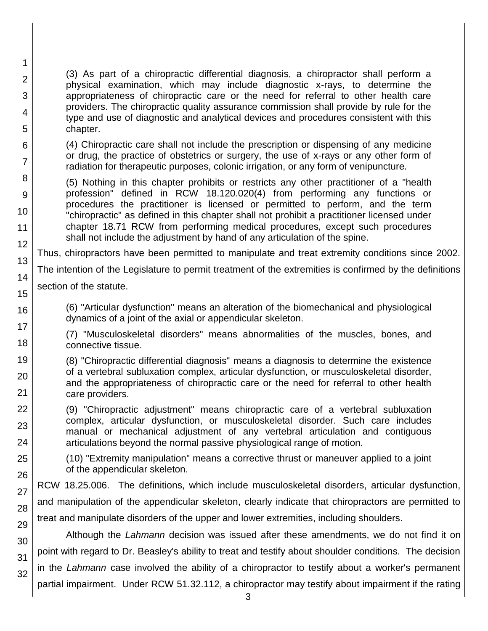(3) As part of a chiropractic differential diagnosis, a chiropractor shall perform a physical examination, which may include diagnostic x-rays, to determine the appropriateness of chiropractic care or the need for referral to other health care providers. The chiropractic quality assurance commission shall provide by rule for the type and use of diagnostic and analytical devices and procedures consistent with this chapter.

(4) Chiropractic care shall not include the prescription or dispensing of any medicine or drug, the practice of obstetrics or surgery, the use of x-rays or any other form of radiation for therapeutic purposes, colonic irrigation, or any form of venipuncture.

(5) Nothing in this chapter prohibits or restricts any other practitioner of a "health profession" defined in RCW 18.120.020(4) from performing any functions or procedures the practitioner is licensed or permitted to perform, and the term "chiropractic" as defined in this chapter shall not prohibit a practitioner licensed under chapter 18.71 RCW from performing medical procedures, except such procedures shall not include the adjustment by hand of any articulation of the spine.

Thus, chiropractors have been permitted to manipulate and treat extremity conditions since 2002.

The intention of the Legislature to permit treatment of the extremities is confirmed by the definitions

section of the statute.

1

2

3

4

5

6

7

8

9

10

11 12

13

14

15

16

17

18

25

26

27

(6) "Articular dysfunction" means an alteration of the biomechanical and physiological dynamics of a joint of the axial or appendicular skeleton.

(7) "Musculoskeletal disorders" means abnormalities of the muscles, bones, and connective tissue.

19 20 21 (8) "Chiropractic differential diagnosis" means a diagnosis to determine the existence of a vertebral subluxation complex, articular dysfunction, or musculoskeletal disorder, and the appropriateness of chiropractic care or the need for referral to other health care providers.

22 23 24 (9) "Chiropractic adjustment" means chiropractic care of a vertebral subluxation complex, articular dysfunction, or musculoskeletal disorder. Such care includes manual or mechanical adjustment of any vertebral articulation and contiguous articulations beyond the normal passive physiological range of motion.

(10) "Extremity manipulation" means a corrective thrust or maneuver applied to a joint of the appendicular skeleton.

28 29 RCW 18.25.006. The definitions, which include musculoskeletal disorders, articular dysfunction, and manipulation of the appendicular skeleton, clearly indicate that chiropractors are permitted to treat and manipulate disorders of the upper and lower extremities, including shoulders.

30 31 32 Although the *Lahmann* decision was issued after these amendments, we do not find it on point with regard to Dr. Beasley's ability to treat and testify about shoulder conditions. The decision in the *Lahmann* case involved the ability of a chiropractor to testify about a worker's permanent partial impairment. Under RCW 51.32.112, a chiropractor may testify about impairment if the rating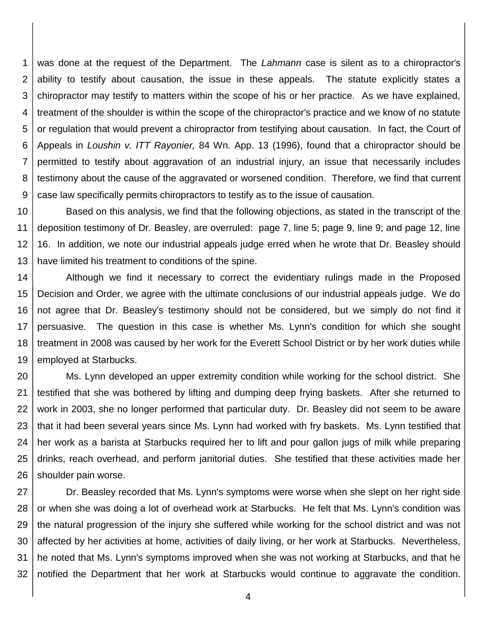1 2 3 4 5 6 7 8 9 was done at the request of the Department. The *Lahmann* case is silent as to a chiropractor's ability to testify about causation, the issue in these appeals. The statute explicitly states a chiropractor may testify to matters within the scope of his or her practice. As we have explained, treatment of the shoulder is within the scope of the chiropractor's practice and we know of no statute or regulation that would prevent a chiropractor from testifying about causation. In fact, the Court of Appeals in *Loushin v. ITT Rayonier,* 84 Wn. App. 13 (1996), found that a chiropractor should be permitted to testify about aggravation of an industrial injury, an issue that necessarily includes testimony about the cause of the aggravated or worsened condition. Therefore, we find that current case law specifically permits chiropractors to testify as to the issue of causation.

10 11 12 13 Based on this analysis, we find that the following objections, as stated in the transcript of the deposition testimony of Dr. Beasley, are overruled: page 7, line 5; page 9, line 9; and page 12, line 16. In addition, we note our industrial appeals judge erred when he wrote that Dr. Beasley should have limited his treatment to conditions of the spine.

14 15 16 17 18 19 Although we find it necessary to correct the evidentiary rulings made in the Proposed Decision and Order, we agree with the ultimate conclusions of our industrial appeals judge. We do not agree that Dr. Beasley's testimony should not be considered, but we simply do not find it persuasive. The question in this case is whether Ms. Lynn's condition for which she sought treatment in 2008 was caused by her work for the Everett School District or by her work duties while employed at Starbucks.

20 21 22 23 24 25 26 Ms. Lynn developed an upper extremity condition while working for the school district. She testified that she was bothered by lifting and dumping deep frying baskets. After she returned to work in 2003, she no longer performed that particular duty. Dr. Beasley did not seem to be aware that it had been several years since Ms. Lynn had worked with fry baskets. Ms. Lynn testified that her work as a barista at Starbucks required her to lift and pour gallon jugs of milk while preparing drinks, reach overhead, and perform janitorial duties. She testified that these activities made her shoulder pain worse.

27 28 29 30 31 32 Dr. Beasley recorded that Ms. Lynn's symptoms were worse when she slept on her right side or when she was doing a lot of overhead work at Starbucks. He felt that Ms. Lynn's condition was the natural progression of the injury she suffered while working for the school district and was not affected by her activities at home, activities of daily living, or her work at Starbucks. Nevertheless, he noted that Ms. Lynn's symptoms improved when she was not working at Starbucks, and that he notified the Department that her work at Starbucks would continue to aggravate the condition.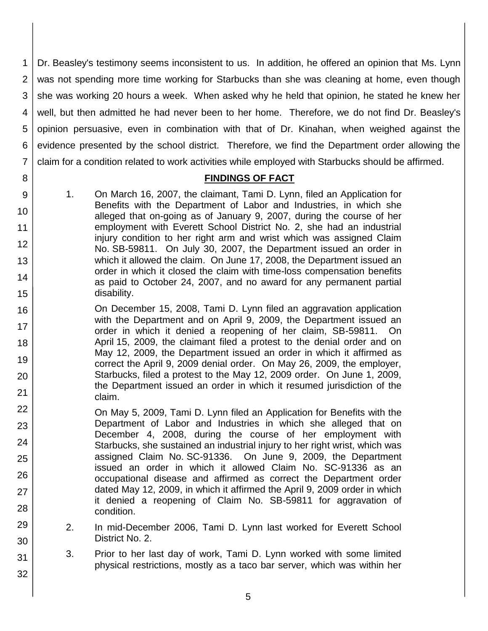1 2 3 4 5 6 7 Dr. Beasley's testimony seems inconsistent to us. In addition, he offered an opinion that Ms. Lynn was not spending more time working for Starbucks than she was cleaning at home, even though she was working 20 hours a week. When asked why he held that opinion, he stated he knew her well, but then admitted he had never been to her home. Therefore, we do not find Dr. Beasley's opinion persuasive, even in combination with that of Dr. Kinahan, when weighed against the evidence presented by the school district. Therefore, we find the Department order allowing the claim for a condition related to work activities while employed with Starbucks should be affirmed.

## **FINDINGS OF FACT**

9 10 11 12 13 14 15 1. On March 16, 2007, the claimant, Tami D. Lynn, filed an Application for Benefits with the Department of Labor and Industries, in which she alleged that on-going as of January 9, 2007, during the course of her employment with Everett School District No. 2, she had an industrial injury condition to her right arm and wrist which was assigned Claim No. SB-59811. On July 30, 2007, the Department issued an order in which it allowed the claim. On June 17, 2008, the Department issued an order in which it closed the claim with time-loss compensation benefits as paid to October 24, 2007, and no award for any permanent partial disability.

8

29

30

31

- 16 17 18 19 20 21 On December 15, 2008, Tami D. Lynn filed an aggravation application with the Department and on April 9, 2009, the Department issued an order in which it denied a reopening of her claim, SB-59811. On April 15, 2009, the claimant filed a protest to the denial order and on May 12, 2009, the Department issued an order in which it affirmed as correct the April 9, 2009 denial order. On May 26, 2009, the employer, Starbucks, filed a protest to the May 12, 2009 order. On June 1, 2009, the Department issued an order in which it resumed jurisdiction of the claim.
- 22 23 24 25 26 27 28 On May 5, 2009, Tami D. Lynn filed an Application for Benefits with the Department of Labor and Industries in which she alleged that on December 4, 2008, during the course of her employment with Starbucks, she sustained an industrial injury to her right wrist, which was assigned Claim No. SC-91336. On June 9, 2009, the Department issued an order in which it allowed Claim No. SC-91336 as an occupational disease and affirmed as correct the Department order dated May 12, 2009, in which it affirmed the April 9, 2009 order in which it denied a reopening of Claim No. SB-59811 for aggravation of condition.
	- 2. In mid-December 2006, Tami D. Lynn last worked for Everett School District No. 2.
		- 3. Prior to her last day of work, Tami D. Lynn worked with some limited physical restrictions, mostly as a taco bar server, which was within her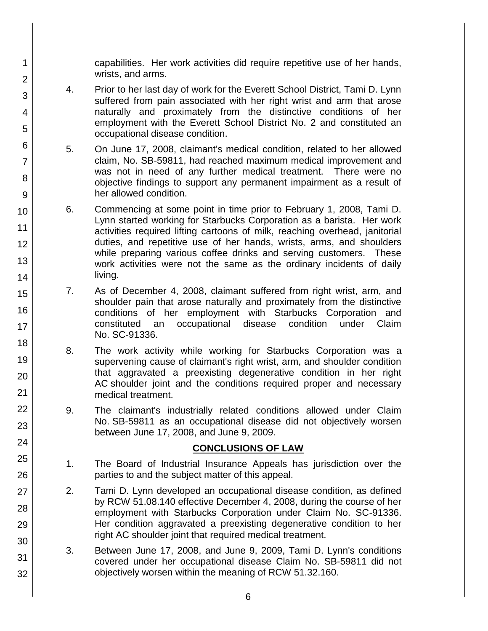capabilities. Her work activities did require repetitive use of her hands, wrists, and arms.

- 4. Prior to her last day of work for the Everett School District, Tami D. Lynn suffered from pain associated with her right wrist and arm that arose naturally and proximately from the distinctive conditions of her employment with the Everett School District No. 2 and constituted an occupational disease condition.
- 5. On June 17, 2008, claimant's medical condition, related to her allowed claim, No. SB-59811, had reached maximum medical improvement and was not in need of any further medical treatment. There were no objective findings to support any permanent impairment as a result of her allowed condition.
- 6. Commencing at some point in time prior to February 1, 2008, Tami D. Lynn started working for Starbucks Corporation as a barista. Her work activities required lifting cartoons of milk, reaching overhead, janitorial duties, and repetitive use of her hands, wrists, arms, and shoulders while preparing various coffee drinks and serving customers. These work activities were not the same as the ordinary incidents of daily living.
- 7. As of December 4, 2008, claimant suffered from right wrist, arm, and shoulder pain that arose naturally and proximately from the distinctive conditions of her employment with Starbucks Corporation and constituted an occupational disease condition under Claim No. SC-91336.
- 8. The work activity while working for Starbucks Corporation was a supervening cause of claimant's right wrist, arm, and shoulder condition that aggravated a preexisting degenerative condition in her right AC shoulder joint and the conditions required proper and necessary medical treatment.
- 9. The claimant's industrially related conditions allowed under Claim No. SB-59811 as an occupational disease did not objectively worsen between June 17, 2008, and June 9, 2009.

### **CONCLUSIONS OF LAW**

- 1. The Board of Industrial Insurance Appeals has jurisdiction over the parties to and the subject matter of this appeal.
- 2. Tami D. Lynn developed an occupational disease condition, as defined by RCW 51.08.140 effective December 4, 2008, during the course of her employment with Starbucks Corporation under Claim No. SC-91336. Her condition aggravated a preexisting degenerative condition to her right AC shoulder joint that required medical treatment.
- 3. Between June 17, 2008, and June 9, 2009, Tami D. Lynn's conditions covered under her occupational disease Claim No. SB-59811 did not objectively worsen within the meaning of RCW 51.32.160.

1

2

3

4

5

6

7

8

9

10

11

12

13

14 15

16

17

18

19

20

21 22

23

24

25

26

27

28

29

30

31